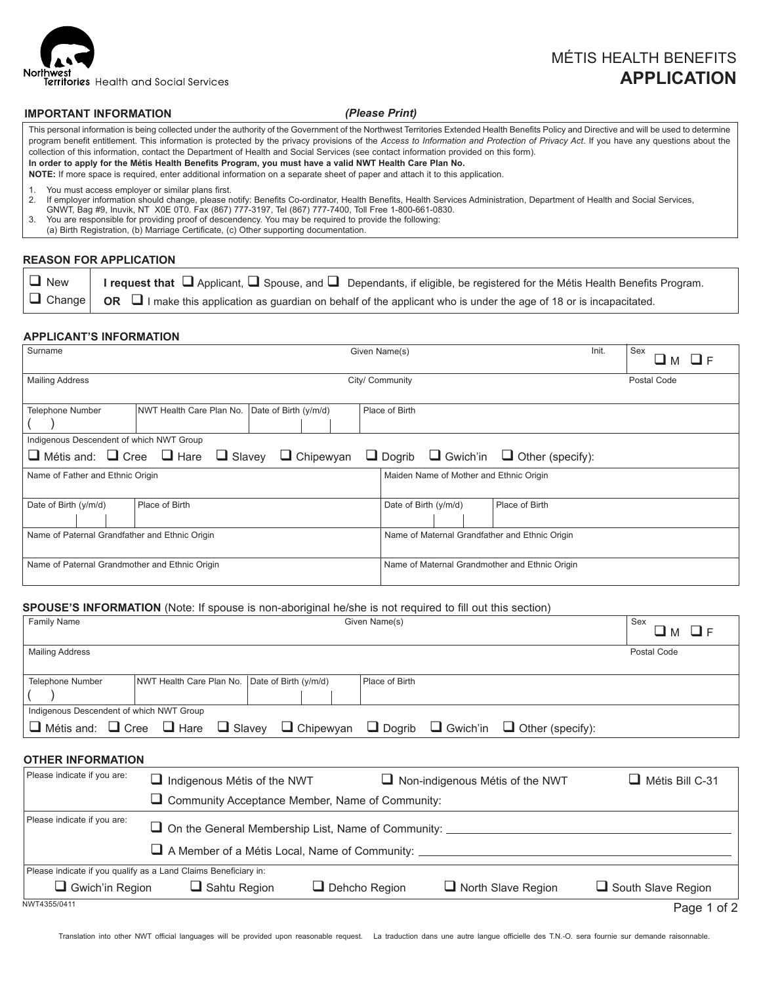

# MÉTIS HEALTH BENEFITS  **APPLICATION**

#### **IMPORTANT INFORMATION**

#### *(Please Print)*

This personal information is being collected under the authority of the Government of the Northwest Territories Extended Health Benefits Policy and Directive and will be used to determine program benefit entitlement. This information is protected by the privacy provisions of the *Access to Information and Protection of Privacy Act*. If you have any questions about the collection of this information, contact the Department of Health and Social Services (see contact information provided on this form). **In order to apply for the Métis Health Benefits Program, you must have a valid NWT Health Care Plan No. NOTE:** If more space is required, enter additional information on a separate sheet of paper and attach it to this application.

1. You must access employer or similar plans first.<br>2. If employer information should change, please n

2. If employer information should change, please notify: Benefits Co-ordinator, Health Benefits, Health Services Administration, Department of Health and Social Services,

GNWT, Bag #9, Inuvik, NT X0E 0T0. Fax (867) 777-3197, Tel (867) 777-7400, Toll Free 1-800-661-0830.

3. You are responsible for providing proof of descendency. You may be required to provide the following:

(a) Birth Registration, (b) Marriage Certificate, (c) Other supporting documentation.

#### **REASON FOR APPLICATION**

| $\Box$ New | I request that $\Box$ Applicant, $\Box$ Spouse, and $\Box$ Dependants, if eligible, be registered for the Métis Health Benefits Program.         |
|------------|--------------------------------------------------------------------------------------------------------------------------------------------------|
|            | $ \Box$ Change $ \Box$ OR $ \Box$ I make this application as guardian on behalf of the applicant who is under the age of 18 or is incapacitated. |

#### **APPLICANT'S INFORMATION**

| Surname                                        | Init.<br>Given Name(s)                                                                                                               |                       |  |                 |                       | Sex                                            |                                                |             |  |
|------------------------------------------------|--------------------------------------------------------------------------------------------------------------------------------------|-----------------------|--|-----------------|-----------------------|------------------------------------------------|------------------------------------------------|-------------|--|
| <b>Mailing Address</b>                         |                                                                                                                                      |                       |  | City/ Community |                       |                                                |                                                | Postal Code |  |
|                                                |                                                                                                                                      |                       |  |                 |                       |                                                |                                                |             |  |
| <b>Telephone Number</b>                        | NWT Health Care Plan No.                                                                                                             | Date of Birth (y/m/d) |  | Place of Birth  |                       |                                                |                                                |             |  |
|                                                |                                                                                                                                      |                       |  |                 |                       |                                                |                                                |             |  |
| Indigenous Descendent of which NWT Group       |                                                                                                                                      |                       |  |                 |                       |                                                |                                                |             |  |
|                                                | $\Box$ Métis and: $\Box$ Cree $\Box$ Hare $\Box$ Slavey<br>$\Box$ Chipewyan<br>$\Box$ Dogrib $\Box$ Gwich'in $\Box$ Other (specify): |                       |  |                 |                       |                                                |                                                |             |  |
| Name of Father and Ethnic Origin               |                                                                                                                                      |                       |  |                 |                       |                                                | Maiden Name of Mother and Ethnic Origin        |             |  |
| Date of Birth (y/m/d)                          | Place of Birth                                                                                                                       |                       |  |                 | Date of Birth (y/m/d) |                                                | Place of Birth                                 |             |  |
|                                                |                                                                                                                                      |                       |  |                 |                       |                                                |                                                |             |  |
| Name of Paternal Grandfather and Ethnic Origin |                                                                                                                                      |                       |  |                 |                       | Name of Maternal Grandfather and Ethnic Origin |                                                |             |  |
| Name of Paternal Grandmother and Ethnic Origin |                                                                                                                                      |                       |  |                 |                       |                                                | Name of Maternal Grandmother and Ethnic Origin |             |  |

#### **SPOUSE'S INFORMATION** (Note: If spouse is non-aboriginal he/she is not required to fill out this section)

| <b>Family Name</b>                                                                  | Given Name(s)                                          |                       |                                 |                               |                           | Sex                       |  |  |  |
|-------------------------------------------------------------------------------------|--------------------------------------------------------|-----------------------|---------------------------------|-------------------------------|---------------------------|---------------------------|--|--|--|
| <b>Mailing Address</b>                                                              |                                                        |                       |                                 |                               |                           | Postal Code               |  |  |  |
| <b>Telephone Number</b>                                                             | NWT Health Care Plan No.                               | Date of Birth (y/m/d) | Place of Birth                  |                               |                           |                           |  |  |  |
| Indigenous Descendent of which NWT Group                                            |                                                        |                       |                                 |                               |                           |                           |  |  |  |
| $\Box$ Métis and: $\Box$ Cree $\Box$ Hare                                           | $\Box$ Slavey                                          | $\Box$ Chipewyan      |                                 | $\Box$ Dogrib $\Box$ Gwich'in | $\Box$ Other (specify):   |                           |  |  |  |
|                                                                                     | <b>OTHER INFORMATION</b>                               |                       |                                 |                               |                           |                           |  |  |  |
| Please indicate if you are:<br>$\Box$ Indigenous Métis of the NWT                   |                                                        |                       | Non-indigenous Métis of the NWT | Métis Bill C-31               |                           |                           |  |  |  |
|                                                                                     | $\Box$ Community Acceptance Member, Name of Community: |                       |                                 |                               |                           |                           |  |  |  |
| Please indicate if you are:<br>On the General Membership List, Name of Community: _ |                                                        |                       |                                 |                               |                           |                           |  |  |  |
| A Member of a Métis Local, Name of Community: __________________________________    |                                                        |                       |                                 |                               |                           |                           |  |  |  |
| Please indicate if you qualify as a Land Claims Beneficiary in:                     |                                                        |                       |                                 |                               |                           |                           |  |  |  |
| Gwich'in Region                                                                     | $\Box$ Sahtu Region                                    |                       | $\Box$ Dehcho Region            |                               | $\Box$ North Slave Region | $\Box$ South Slave Region |  |  |  |
| NWT4355/0411                                                                        |                                                        |                       |                                 |                               |                           | Page 1 of 2               |  |  |  |